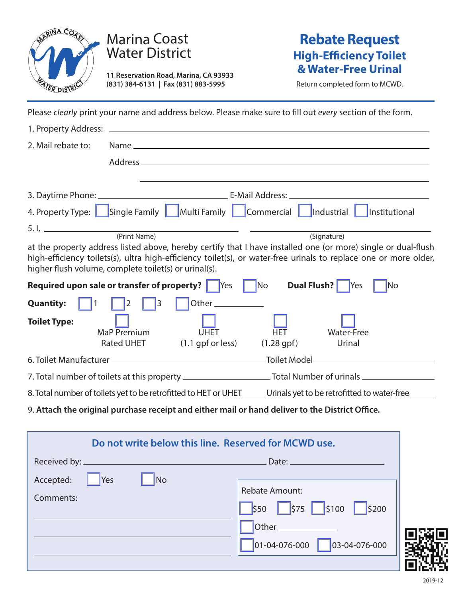

## Marina Coast Water District

**11 Reservation Road, Marina, CA 93933 (831) 384-6131 | Fax (831) 883-5995**

## **Rebate Request High-Efficiency Toilet & Water-Free Urinal**

Return completed form to MCWD.

Please *clearly* print your name and address below. Please make sure to fill out *every* section of the form.

| 2. Mail rebate to:                                                                        |                                                                          |                                                                                                                                                                                                                                      |  |
|-------------------------------------------------------------------------------------------|--------------------------------------------------------------------------|--------------------------------------------------------------------------------------------------------------------------------------------------------------------------------------------------------------------------------------|--|
|                                                                                           |                                                                          |                                                                                                                                                                                                                                      |  |
|                                                                                           |                                                                          |                                                                                                                                                                                                                                      |  |
|                                                                                           |                                                                          |                                                                                                                                                                                                                                      |  |
|                                                                                           | 4. Property Type: Single Family   Multi Family   Commercial   Industrial | Institutional                                                                                                                                                                                                                        |  |
|                                                                                           | 5. I, <u>Chambridge (Print Name</u> )                                    | (Signature)                                                                                                                                                                                                                          |  |
|                                                                                           |                                                                          | at the property address listed above, hereby certify that I have installed one (or more) single or dual-flush                                                                                                                        |  |
|                                                                                           | higher flush volume, complete toilet(s) or urinal(s).                    | high-efficiency toilets(s), ultra high-efficiency toilet(s), or water-free urinals to replace one or more older,                                                                                                                     |  |
| <b>Required upon sale or transfer of property?</b> Yes No<br><b>Dual Flush?</b> Yes<br>No |                                                                          |                                                                                                                                                                                                                                      |  |
| <b>Quantity:</b>                                                                          | $\vert$ 3<br>Other______________<br>$\vert$ 2                            |                                                                                                                                                                                                                                      |  |
| <b>Toilet Type:</b>                                                                       | <b>UHET</b><br>MaP Premium<br><b>Rated UHET</b>                          | <b>HET</b><br><b>Water-Free</b><br>$(1.1$ gpf or less) $(1.28$ gpf)<br>Urinal                                                                                                                                                        |  |
|                                                                                           |                                                                          |                                                                                                                                                                                                                                      |  |
|                                                                                           |                                                                          |                                                                                                                                                                                                                                      |  |
|                                                                                           |                                                                          | 8. Total number of toilets yet to be retrofitted to HET or UHET ______ Urinals yet to be retrofitted to water-free ______                                                                                                            |  |
|                                                                                           |                                                                          | 9. Attach the original purchase receipt and either mail or hand deliver to the District Office.                                                                                                                                      |  |
|                                                                                           |                                                                          |                                                                                                                                                                                                                                      |  |
|                                                                                           | Do not write below this line. Reserved for MCWD use.                     |                                                                                                                                                                                                                                      |  |
| Received by: __________                                                                   |                                                                          | <u>Date: Expanding Date: Expanding Date: Expanding Date: Expanding Date: Expanding Date: Expanding Date: Expanding Date: Expanding Date: Expanding Date: Expanding Date: Expanding Date: Expanding Date: Expanding Date: Expandi</u> |  |
| Accepted:                                                                                 | <b>No</b><br><b>Yes</b>                                                  |                                                                                                                                                                                                                                      |  |
| Comments:                                                                                 |                                                                          | <b>Rebate Amount:</b>                                                                                                                                                                                                                |  |

\$50 \$75 \$100 \$200

 $01-04-076-000$  03-04-076-000

Other\_

2019-12